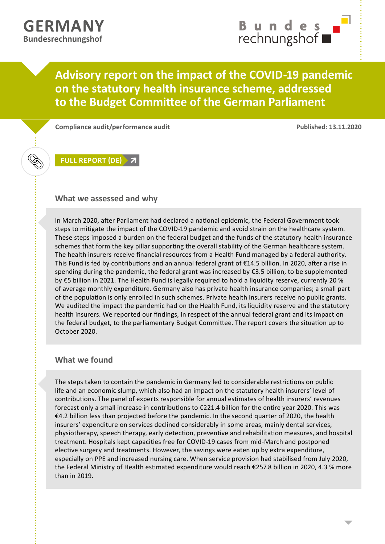Ķ

## **Advisory report on the impact of the COVID-19 pandemic on the statutory health insurance scheme, addressed to the Budget Committee of the German Parliament**

**Compliance audit/performance audit Published: 13.11.2020**

**FULL [REPORT](https://www.bundesrechnungshof.de/de/veroeffentlichungen/produkte/beratungsberichte/2020/finanzielle-lage-der-gesetzlichen-krankenversicherung-teil-1-auswirkungen-der-covid-19-pandemie-auf-die-gesetzliche-krankenversicherung) (DE)**

## **What we assessed and why**

In March 2020, after Parliament had declared a national epidemic, the Federal Government took steps to mitigate the impact of the COVID-19 pandemic and avoid strain on the healthcare system. These steps imposed a burden on the federal budget and the funds of the statutory health insurance schemes that form the key pillar supporting the overall stability of the German healthcare system. The health insurers receive financial resources from a Health Fund managed by a federal authority. This Fund is fed by contributions and an annual federal grant of €14.5 billion. In 2020, after a rise in spending during the pandemic, the federal grant was increased by €3.5 billion, to be supplemented by €5 billion in 2021. The Health Fund is legally required to hold a liquidity reserve, currently 20 % of average monthly expenditure. Germany also has private health insurance companies; a small part of the population is only enrolled in such schemes. Private health insurers receive no public grants. We audited the impact the pandemic had on the Health Fund, its liquidity reserve and the statutory health insurers. We reported our findings, in respect of the annual federal grant and its impact on the federal budget, to the parliamentary Budget Committee. The report covers the situation up to October 2020.

## **What we found**

The steps taken to contain the pandemic in Germany led to considerable restrictions on public life and an economic slump, which also had an impact on the statutory health insurers' level of contributions. The panel of experts responsible for annual estimates of health insurers' revenues forecast only a small increase in contributions to €221.4 billion for the entire year 2020. This was €4.2 billion less than projected before the pandemic. In the second quarter of 2020, the health insurers' expenditure on services declined considerably in some areas, mainly dental services, physiotherapy, speech therapy, early detection, preventive and rehabilitation measures, and hospital treatment. Hospitals kept capacities free for COVID-19 cases from mid-March and postponed elective surgery and treatments. However, the savings were eaten up by extra expenditure, especially on PPE and increased nursing care. When service provision had stabilised from July 2020, the Federal Ministry of Health estimated expenditure would reach €257.8 billion in 2020, 4.3 % more than in 2019.